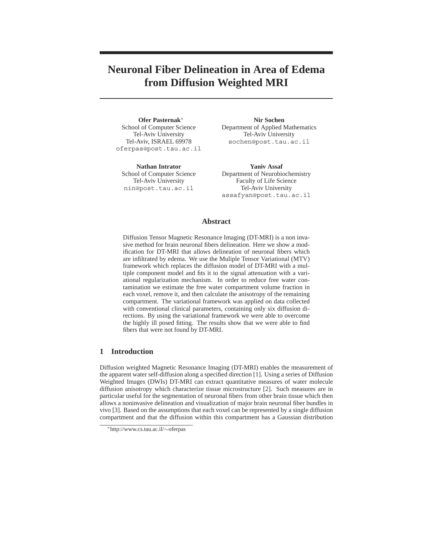# **Neuronal Fiber Delineation in Area of Edema from Diffusion Weighted MRI**

**Ofer Pasternak**<sup>∗</sup> School of Computer Science Tel-Aviv University Tel-Aviv, ISRAEL 69978 oferpas@post.tau.ac.il

**Nathan Intrator** School of Computer Science Tel-Aviv University nin@post.tau.ac.il

**Nir Sochen** Department of Applied Mathematics Tel-Aviv University sochen@post.tau.ac.il

**Yaniv Assaf** Department of Neurobiochemistry Faculty of Life Science Tel-Aviv University assafyan@post.tau.ac.il

## **Abstract**

Diffusion Tensor Magnetic Resonance Imaging (DT-MRI) is a non invasive method for brain neuronal fibers delineation. Here we show a modification for DT-MRI that allows delineation of neuronal fibers which are infiltrated by edema. We use the Muliple Tensor Variational (MTV) framework which replaces the diffusion model of DT-MRI with a multiple component model and fits it to the signal attenuation with a variational regularization mechanism. In order to reduce free water contamination we estimate the free water compartment volume fraction in each voxel, remove it, and then calculate the anisotropy of the remaining compartment. The variational framework was applied on data collected with conventional clinical parameters, containing only six diffusion directions. By using the variational framework we were able to overcome the highly ill posed fitting. The results show that we were able to find fibers that were not found by DT-MRI.

# **1 Introduction**

Diffusion weighted Magnetic Resonance Imaging (DT-MRI) enables the measurement of the apparent water self-diffusion along a specified direction [1]. Using a series of Diffusion Weighted Images (DWIs) DT-MRI can extract quantitative measures of water molecule diffusion anisotropy which characterize tissue microstructure [2]. Such measures are in particular useful for the segmentation of neuronal fibers from other brain tissue which then allows a noninvasive delineation and visualization of major brain neuronal fiber bundles in vivo [3]. Based on the assumptions that each voxel can be represented by a single diffusion compartment and that the diffusion within this compartment has a Gaussian distribution

<sup>∗</sup>http://www.cs.tau.ac.il/∼oferpas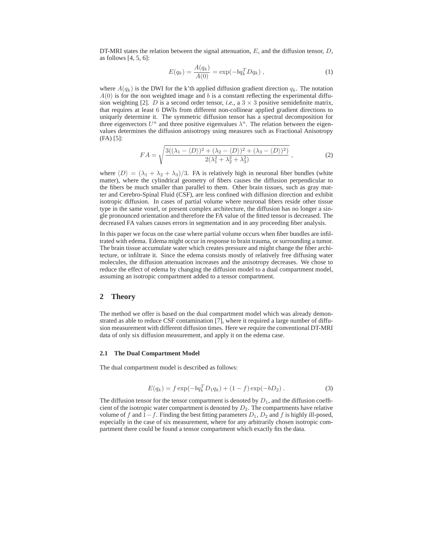DT-MRI states the relation between the signal attenuation,  $E$ , and the diffusion tensor,  $D$ , as follows  $[4, 5, 6]$ :

$$
E(q_k) = \frac{A(q_k)}{A(0)} = \exp(-bq_k^T Dq_k), \qquad (1)
$$

where  $A(q_k)$  is the DWI for the k'th applied diffusion gradient direction  $q_k$ . The notation  $A(0)$  is for the non weighted image and b is a constant reflecting the experimental diffusion weighting [2]. D is a second order tensor, *i.e.*, a  $3 \times 3$  positive semidefinite matrix, that requires at least 6 DWIs from different non-collinear applied gradient directions to uniquely determine it. The symmetric diffusion tensor has a spectral decomposition for three eigenvectors  $U^a$  and three positive eigenvalues  $\lambda^a$ . The relation between the eigenvalues determines the diffusion anisotropy using measures such as Fractional Anisotropy (FA) [5]:

$$
FA = \sqrt{\frac{3((\lambda_1 - \langle D \rangle)^2 + (\lambda_2 - \langle D \rangle)^2 + (\lambda_3 - \langle D \rangle)^2)}{2(\lambda_1^2 + \lambda_2^2 + \lambda_3^2)}},
$$
\n(2)

where  $\langle D \rangle = (\lambda_1 + \lambda_2 + \lambda_3)/3$ . FA is relatively high in neuronal fiber bundles (white matter), where the cylindrical geometry of fibers causes the diffusion perpendicular to the fibers be much smaller than parallel to them. Other brain tissues, such as gray matter and Cerebro-Spinal Fluid (CSF), are less confined with diffusion direction and exhibit isotropic diffusion. In cases of partial volume where neuronal fibers reside other tissue type in the same voxel, or present complex architecture, the diffusion has no longer a single pronounced orientation and therefore the FA value of the fitted tensor is decreased. The decreased FA values causes errors in segmentation and in any proceeding fiber analysis.

In this paper we focus on the case where partial volume occurs when fiber bundles are infiltrated with edema. Edema might occur in response to brain trauma, or surrounding a tumor. The brain tissue accumulate water which creates pressure and might change the fiber architecture, or infiltrate it. Since the edema consists mostly of relatively free diffusing water molecules, the diffusion attenuation increases and the anisotropy decreases. We chose to reduce the effect of edema by changing the diffusion model to a dual compartment model, assuming an isotropic compartment added to a tensor compartment.

## **2 Theory**

The method we offer is based on the dual compartment model which was already demonstrated as able to reduce CSF contamination [7], where it required a large number of diffusion measurement with different diffusion times. Here we require the conventional DT-MRI data of only six diffusion measurement, and apply it on the edema case.

#### **2.1 The Dual Compartment Model**

The dual compartment model is described as follows:

$$
E(q_k) = f \exp(-bq_k^T D_1 q_k) + (1 - f) \exp(-bD_2).
$$
 (3)

The diffusion tensor for the tensor compartment is denoted by  $D_1$ , and the diffusion coefficient of the isotropic water compartment is denoted by  $D_2$ . The compartments have relative volume of f and  $1-f$ . Finding the best fitting parameters  $D_1$ ,  $D_2$  and f is highly ill-posed, especially in the case of six measurement, where for any arbitrarily chosen isotropic compartment there could be found a tensor compartment which exactly fits the data.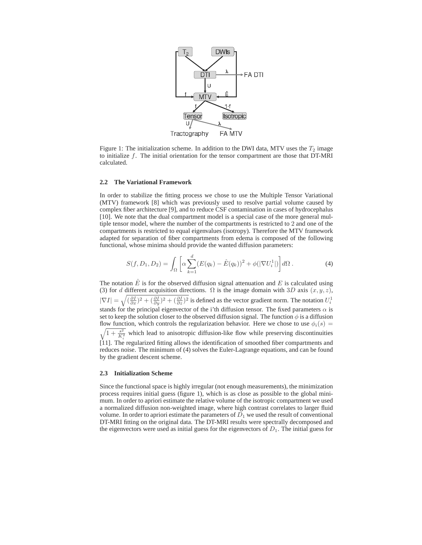

Figure 1: The initialization scheme. In addition to the DWI data, MTV uses the  $T_2$  image to initialize  $f$ . The initial orientation for the tensor compartment are those that DT-MRI calculated.

### **2.2 The Variational Framework**

In order to stabilize the fitting process we chose to use the Multiple Tensor Variational (MTV) framework [8] which was previously used to resolve partial volume caused by complex fiber architecture [9], and to reduce CSF contamination in cases of hydrocephalus [10]. We note that the dual compartment model is a special case of the more general multiple tensor model, where the number of the compartments is restricted to 2 and one of the compartments is restricted to equal eigenvalues (isotropy). Therefore the MTV framework adapted for separation of fiber compartments from edema is composed of the following functional, whose minima should provide the wanted diffusion parameters:

$$
S(f, D_1, D_2) = \int_{\Omega} \left[ \alpha \sum_{k=1}^{d} (E(q_k) - \hat{E}(q_k))^2 + \phi(|\nabla U_i^1|) \right] d\Omega.
$$
 (4)

The notation  $\hat{E}$  is for the observed diffusion signal attenuation and E is calculated using (3) for d different acquisition directions.  $\Omega$  is the image domain with 3D axis  $(x, y, z)$ ,  $|\nabla I| = \sqrt{(\frac{\partial I}{\partial x})^2 + (\frac{\partial I}{\partial y})^2 + (\frac{\partial I}{\partial z})^2}$  is defined as the vector gradient norm. The notation  $U_i^1$ stands for the principal eigenvector of the i'th diffusion tensor. The fixed parameters  $\alpha$  is set to keep the solution closer to the observed diffusion signal. The function  $\phi$  is a diffusion flow function, which controls the regularization behavior. Here we chose to use  $\phi_i(s)$  =  $\sqrt{1+\frac{s^2}{K^2}}$  which lead to anisotropic diffusion-like flow while preserving discontinuities  $\prod_{i=1}^{N}$  The regularized fitting allows the identification of smoothed fiber compartments and reduces noise. The minimum of (4) solves the Euler-Lagrange equations, and can be found by the gradient descent scheme.

#### **2.3 Initialization Scheme**

Since the functional space is highly irregular (not enough measurements), the minimization process requires initial guess (figure 1), which is as close as possible to the global minimum. In order to apriori estimate the relative volume of the isotropic compartment we used a normalized diffusion non-weighted image, where high contrast correlates to larger fluid volume. In order to apriori estimate the parameters of  $D_1$  we used the result of conventional DT-MRI fitting on the original data. The DT-MRI results were spectrally decomposed and the eigenvectors were used as initial guess for the eigenvectors of  $D_1$ . The initial guess for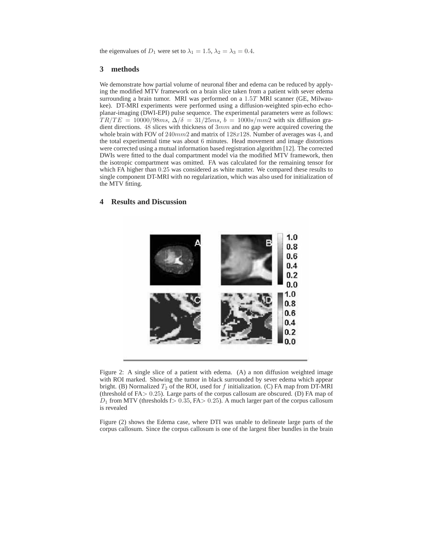the eigenvalues of  $D_1$  were set to  $\lambda_1 = 1.5$ ,  $\lambda_2 = \lambda_3 = 0.4$ .

## **3 methods**

We demonstrate how partial volume of neuronal fiber and edema can be reduced by applying the modified MTV framework on a brain slice taken from a patient with sever edema surrounding a brain tumor. MRI was performed on a 1.5T MRI scanner (GE, Milwaukee). DT-MRI experiments were performed using a diffusion-weighted spin-echo echoplanar-imaging (DWI-EPI) pulse sequence. The experimental parameters were as follows:  $TR/TE = 10000/98ms$ ,  $\Delta/\delta = 31/25ms$ ,  $b = 1000s/mm2$  with six diffusion gradient directions. 48 slices with thickness of 3mm and no gap were acquired covering the whole brain with FOV of  $240mm2$  and matrix of  $128x128$ . Number of averages was 4, and the total experimental time was about 6 minutes. Head movement and image distortions were corrected using a mutual information based registration algorithm [12]. The corrected DWIs were fitted to the dual compartment model via the modified MTV framework, then the isotropic compartment was omitted. FA was calculated for the remaining tensor for which FA higher than 0.25 was considered as white matter. We compared these results to single component DT-MRI with no regularization, which was also used for initialization of the MTV fitting.

# **4 Results and Discussion**



Figure 2: A single slice of a patient with edema. (A) a non diffusion weighted image with ROI marked. Showing the tumor in black surrounded by sever edema which appear bright. (B) Normalized  $T_2$  of the ROI, used for f initialization. (C) FA map from DT-MRI (threshold of FA> 0.25). Large parts of the corpus callosum are obscured. (D) FA map of  $D_1$  from MTV (thresholds f > 0.35, FA > 0.25). A much larger part of the corpus callosum is revealed

Figure (2) shows the Edema case, where DTI was unable to delineate large parts of the corpus callosum. Since the corpus callosum is one of the largest fiber bundles in the brain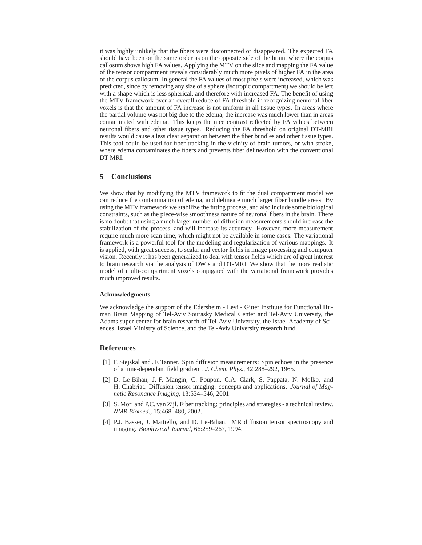it was highly unlikely that the fibers were disconnected or disappeared. The expected FA should have been on the same order as on the opposite side of the brain, where the corpus callosum shows high FA values. Applying the MTV on the slice and mapping the FA value of the tensor compartment reveals considerably much more pixels of higher FA in the area of the corpus callosum. In general the FA values of most pixels were increased, which was predicted, since by removing any size of a sphere (isotropic compartment) we should be left with a shape which is less spherical, and therefore with increased FA. The benefit of using the MTV framework over an overall reduce of FA threshold in recognizing neuronal fiber voxels is that the amount of FA increase is not uniform in all tissue types. In areas where the partial volume was not big due to the edema, the increase was much lower than in areas contaminated with edema. This keeps the nice contrast reflected by FA values between neuronal fibers and other tissue types. Reducing the FA threshold on original DT-MRI results would cause a less clear separation between the fiber bundles and other tissue types. This tool could be used for fiber tracking in the vicinity of brain tumors, or with stroke, where edema contaminates the fibers and prevents fiber delineation with the conventional DT-MRI.

## **5 Conclusions**

We show that by modifying the MTV framework to fit the dual compartment model we can reduce the contamination of edema, and delineate much larger fiber bundle areas. By using the MTV framework we stabilize the fitting process, and also include some biological constraints, such as the piece-wise smoothness nature of neuronal fibers in the brain. There is no doubt that using a much larger number of diffusion measurements should increase the stabilization of the process, and will increase its accuracy. However, more measurement require much more scan time, which might not be available in some cases. The variational framework is a powerful tool for the modeling and regularization of various mappings. It is applied, with great success, to scalar and vector fields in image processing and computer vision. Recently it has been generalized to deal with tensor fields which are of great interest to brain research via the analysis of DWIs and DT-MRI. We show that the more realistic model of multi-compartment voxels conjugated with the variational framework provides much improved results.

## **Acknowledgments**

We acknowledge the support of the Edersheim - Levi - Gitter Institute for Functional Human Brain Mapping of Tel-Aviv Sourasky Medical Center and Tel-Aviv University, the Adams super-center for brain research of Tel-Aviv University, the Israel Academy of Sciences, Israel Ministry of Science, and the Tel-Aviv University research fund.

# **References**

- [1] E Stejskal and JE Tanner. Spin diffusion measurements: Spin echoes in the presence of a time-dependant field gradient. *J. Chem. Phys.*, 42:288–292, 1965.
- [2] D. Le-Bihan, J.-F. Mangin, C. Poupon, C.A. Clark, S. Pappata, N. Molko, and H. Chabriat. Diffusion tensor imaging: concepts and applications. *Journal of Magnetic Resonance Imaging*, 13:534–546, 2001.
- [3] S. Mori and P.C. van Zijl. Fiber tracking: principles and strategies a technical review. *NMR Biomed.*, 15:468–480, 2002.
- [4] P.J. Basser, J. Mattiello, and D. Le-Bihan. MR diffusion tensor spectroscopy and imaging. *Biophysical Journal*, 66:259–267, 1994.